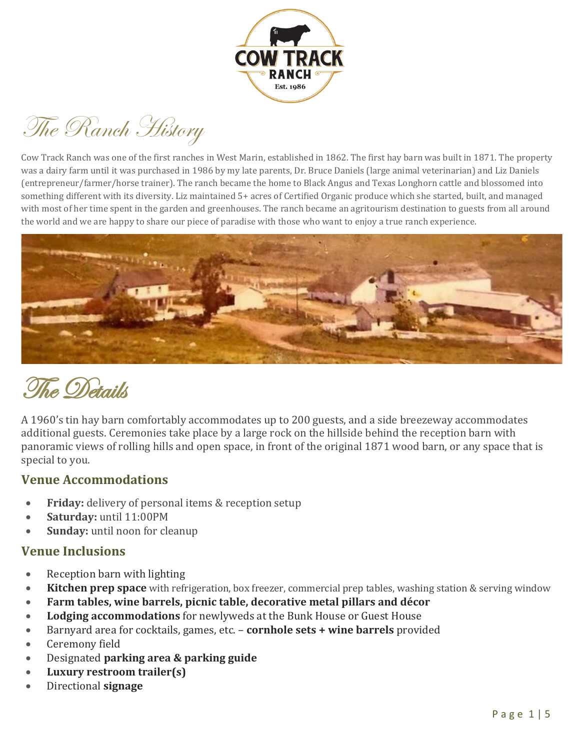

The Ranch History

Cow Track Ranch was one of the first ranches in West Marin, established in 1862. The first hay barn was built in 1871. The property was a dairy farm until it was purchased in 1986 by my late parents, Dr. Bruce Daniels (large animal veterinarian) and Liz Daniels (entrepreneur/farmer/horse trainer). The ranch became the home to Black Angus and Texas Longhorn cattle and blossomed into something different with its diversity. Liz maintained 5+ acres of Certified Organic produce which she started, built, and managed with most of her time spent in the garden and greenhouses. The ranch became an agritourism destination to guests from all around the world and we are happy to share our piece of paradise with those who want to enjoy a true ranch experience.



# The Details

A 1960's tin hay barn comfortably accommodates up to 200 guests, and a side breezeway accommodates additional guests. Ceremonies take place by a large rock on the hillside behind the reception barn with panoramic views of rolling hills and open space, in front of the original 1871 wood barn, or any space that is special to you.

#### **Venue Accommodations**

- **Friday:** delivery of personal items & reception setup
- **Saturday:** until 11:00PM
- **Sunday:** until noon for cleanup

#### **Venue Inclusions**

- Reception barn with lighting
- **Kitchen prep space** with refrigeration, box freezer, commercial prep tables, washing station & serving window
- **Farm tables, wine barrels, picnic table, decorative metal pillars and décor**
- **Lodging accommodations** for newlyweds at the Bunk House or Guest House
- Barnyard area for cocktails, games, etc. **cornhole sets + wine barrels** provided
- Ceremony field
- Designated **parking area & parking guide**
- **Luxury restroom trailer(s)**
- Directional **signage**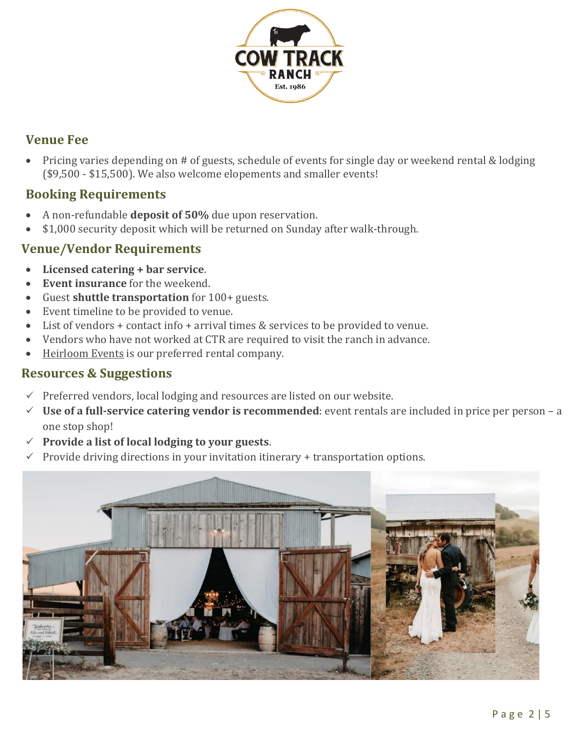

## **Venue Fee**

• Pricing varies depending on # of guests, schedule of events for single day or weekend rental & lodging (\$9,500 - \$15,500). We also welcome elopements and smaller events!

#### **Booking Requirements**

- A non-refundable **deposit of 50%** due upon reservation.
- \$1,000 security deposit which will be returned on Sunday after walk-through.

#### **Venue/Vendor Requirements**

- **Licensed catering + bar service**.
- **Event insurance** for the weekend.
- Guest **shuttle transportation** for 100+ guests.
- Event timeline to be provided to venue.
- List of vendors + contact info + arrival times & services to be provided to venue.
- Vendors who have not worked at CTR are required to visit the ranch in advance.
- [Heirloom Events](https://heirloomevents.com/) is our preferred rental company.

#### **Resources & Suggestions**

- $\checkmark$  Preferred vendors, local lodging and resources are listed on our [website.](http://www.cowtrackranch.com/Vendors---Resources.html)
- ✓ **Use of a full-service catering vendor is recommended**: event rentals are included in price per person a one stop shop!
- ✓ **Provide a list of local lodging to your guests**.
- $\checkmark$  Provide driving directions in your invitation itinerary + transportation options.

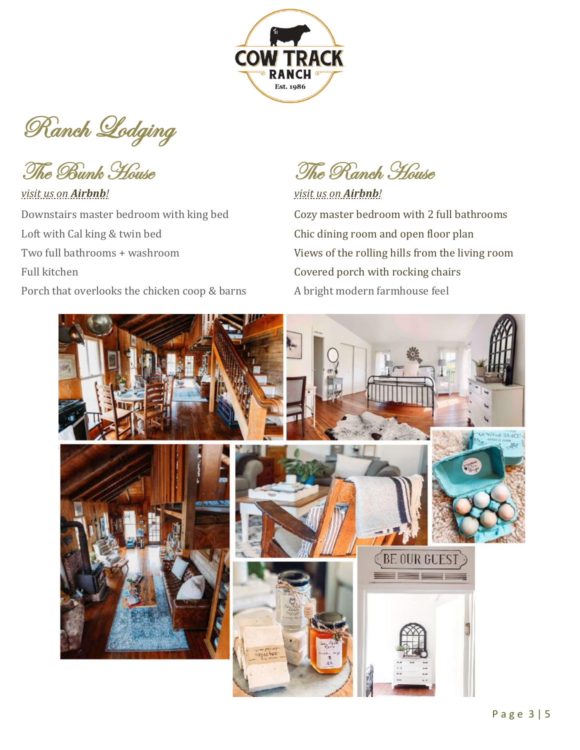

Ranch Lodging

## *[visit us on](https://www.airbnb.com/rooms/203391) Airbnb! [visit us on](https://www.airbnb.com/rooms/54074356?guests=1&adults=1&s=67&unique_share_id=02b725c9-beec-472f-ac3e-3db6c7bdc18d) Airbnb!* Downstairs master bedroom with king bed Cozy master bedroom with 2 full bathrooms Loft with Cal king & twin bed Chic dining room and open floor plan Full kitchen **Covered porch with rocking chairs**

Porch that overlooks the chicken coop & barns A bright modern farmhouse feel

The Bunk House The Ranch House

Two full bathrooms + washroom Views of the rolling hills from the living room

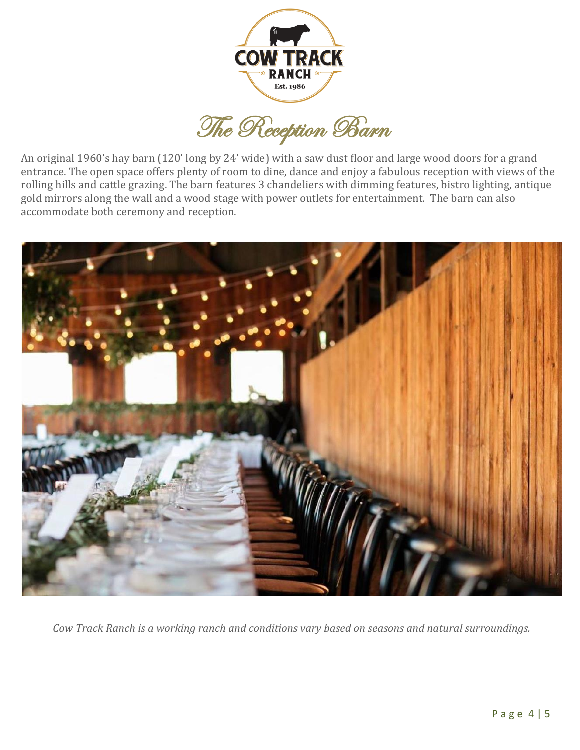

The Reception Barn

An original 1960's hay barn (120' long by 24' wide) with a saw dust floor and large wood doors for a grand entrance. The open space offers plenty of room to dine, dance and enjoy a fabulous reception with views of the rolling hills and cattle grazing. The barn features 3 chandeliers with dimming features, bistro lighting, antique gold mirrors along the wall and a wood stage with power outlets for entertainment. The barn can also accommodate both ceremony and reception.



*Cow Track Ranch is a working ranch and conditions vary based on seasons and natural surroundings.*